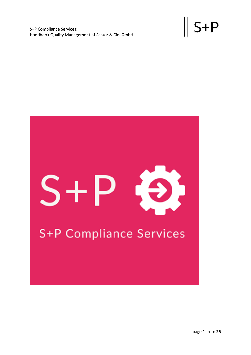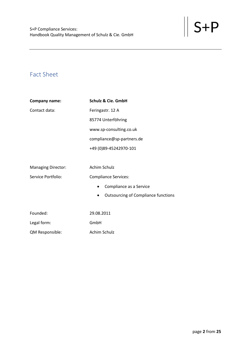# <span id="page-1-0"></span>Fact Sheet

| Company name:             | <b>Schulz &amp; Cie. GmbH</b>                           |
|---------------------------|---------------------------------------------------------|
| Contact data:             | Feringastr. 12 A                                        |
|                           | 85774 Unterföhring                                      |
|                           | www.sp-consulting.co.uk                                 |
|                           | compliance@sp-partners.de                               |
|                           | +49 (0)89-45242970-101                                  |
|                           |                                                         |
| <b>Managing Director:</b> | Achim Schulz                                            |
| Service Portfolio:        | <b>Compliance Services:</b>                             |
|                           | Compliance as a Service<br>$\bullet$                    |
|                           | <b>Outsourcing of Compliance functions</b><br>$\bullet$ |
|                           |                                                         |
| Founded:                  | 29.08.2011                                              |
| Legal form:               | GmbH                                                    |
| QM Responsible:           | Achim Schulz                                            |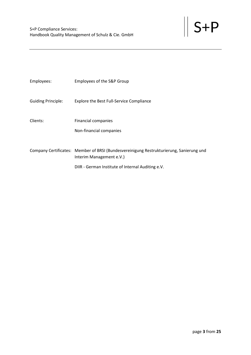| Employees:                | Employees of the S&P Group                                                                                          |
|---------------------------|---------------------------------------------------------------------------------------------------------------------|
| <b>Guiding Principle:</b> | <b>Explore the Best Full-Service Compliance</b>                                                                     |
| Clients:                  | <b>Financial companies</b>                                                                                          |
|                           | Non-financial companies                                                                                             |
|                           | Company Certificates: Member of BRSI (Bundesvereinigung Restrukturierung, Sanierung und<br>Interim Management e.V.) |
|                           | DIIR - German Institute of Internal Auditing e.V.                                                                   |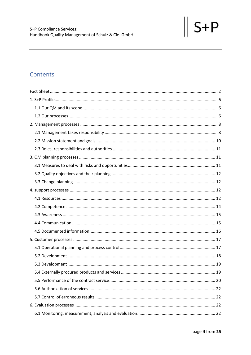# Contents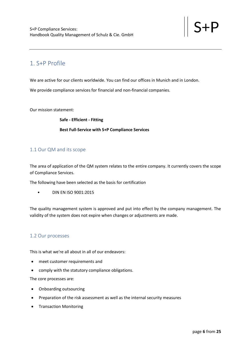# <span id="page-5-0"></span>1. S+P Profile

We are active for our clients worldwide. You can find our offices in Munich and in London.

We provide compliance services for financial and non-financial companies.

Our mission statement:

**Safe - Efficient - Fitting Best Full-Service with S+P Compliance Services**

## <span id="page-5-1"></span>1.1 Our QM and its scope

The area of application of the QM system relates to the entire company. It currently covers the scope of Compliance Services.

The following have been selected as the basis for certification

• DIN EN ISO 9001:2015

The quality management system is approved and put into effect by the company management. The validity of the system does not expire when changes or adjustments are made.

## <span id="page-5-2"></span>1.2 Our processes

This is what we're all about in all of our endeavors:

- meet customer requirements and
- comply with the statutory compliance obligations.

The core processes are:

- Onboarding outsourcing
- Preparation of the risk assessment as well as the internal security measures
- Transaction Monitoring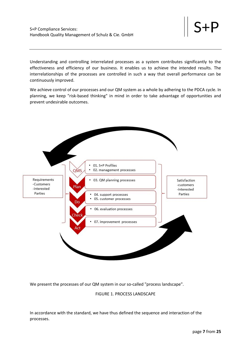Understanding and controlling interrelated processes as a system contributes significantly to the effectiveness and efficiency of our business. It enables us to achieve the intended results. The interrelationships of the processes are controlled in such a way that overall performance can be continuously improved.

We achieve control of our processes and our QM system as a whole by adhering to the PDCA cycle. In planning, we keep "risk-based thinking" in mind in order to take advantage of opportunities and prevent undesirable outcomes.



We present the processes of our QM system in our so-called "process landscape".

FIGURE 1. PROCESS LANDSCAPE

In accordance with the standard, we have thus defined the sequence and interaction of the processes.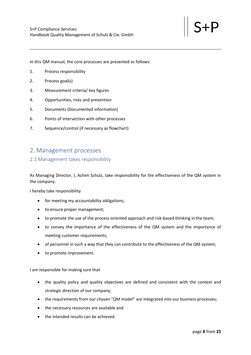In this QM manual, the core processes are presented as follows:

- 1. Process responsibility
- 2. Process goal(s)
- 3. Measurement criteria/ key figures
- 4. Opportunities, risks and prevention
- 5. Documents (Documented information)
- 6. Points of intersection with other processes
- 7. Sequence/control (if necessary as flowchart)

## <span id="page-7-0"></span>2. Management processes

#### <span id="page-7-1"></span>2.1 Management takes responsibility

As Managing Director, I, Achim Schulz, take responsibility for the effectiveness of the QM system in the company.

I hereby take responsibility

- for meeting my accountability obligations;
- to ensure proper management;
- to promote the use of the process-oriented approach and risk-based thinking in the team;
- to convey the importance of the effectiveness of the QM system and the importance of meeting customer requirements;
- of personnel in such a way that they can contribute to the effectiveness of the QM system;
- to promote improvement.

I am responsible for making sure that

- the quality policy and quality objectives are defined and consistent with the context and strategic direction of our company;
- the requirements from our chosen "QM model" are integrated into our business processes;
- the necessary resources are available and
- the intended results can be achieved.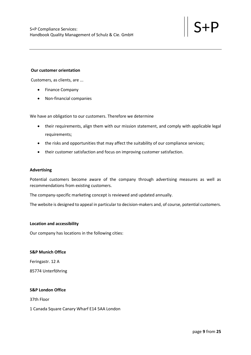#### **Our customer orientation**

Customers, as clients, are ...

- Finance Company
- Non-financial companies

We have an obligation to our customers. Therefore we determine

- their requirements, align them with our mission statement, and comply with applicable legal requirements;
- the risks and opportunities that may affect the suitability of our compliance services;
- their customer satisfaction and focus on improving customer satisfaction.

#### **Advertising**

Potential customers become aware of the company through advertising measures as well as recommendations from existing customers.

The company-specific marketing concept is reviewed and updated annually.

The website is designed to appeal in particular to decision-makers and, of course, potential customers.

#### **Location and accessibility**

Our company has locations in the following cities:

#### **S&P Munich Office**

Feringastr. 12 A

85774 Unterföhring

#### **S&P London Office**

37th Floor

#### 1 Canada Square Canary Wharf E14 5AA London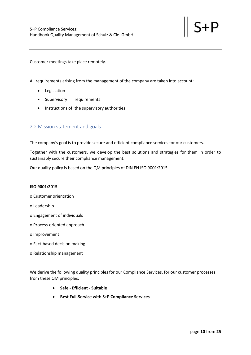Customer meetings take place remotely.

All requirements arising from the management of the company are taken into account:

- Legislation
- Supervisory requirements
- Instructions of the supervisory authorities

## <span id="page-9-0"></span>2.2 Mission statement and goals

The company's goal is to provide secure and efficient compliance services for our customers.

Together with the customers, we develop the best solutions and strategies for them in order to sustainably secure their compliance management.

Our quality policy is based on the QM principles of DIN EN ISO 9001:2015.

#### **ISO 9001:2015**

- o Customer orientation
- o Leadership
- o Engagement of individuals
- o Process-oriented approach
- o Improvement
- o Fact-based decision making
- o Relationship management

We derive the following quality principles for our Compliance Services, for our customer processes, from these QM principles:

- **Safe - Efficient - Suitable**
- **Best Full-Service with S+P Compliance Services**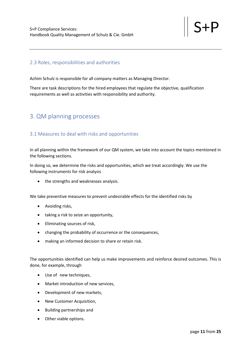## <span id="page-10-0"></span>2.3 Roles, responsibilities and authorities

Achim Schulz is responsible for all company matters as Managing Director.

There are task descriptions for the hired employees that regulate the objective, qualification requirements as well as activities with responsibility and authority.

## <span id="page-10-1"></span>3. QM planning processes

## <span id="page-10-2"></span>3.1 Measures to deal with risks and opportunities

In all planning within the framework of our QM system, we take into account the topics mentioned in the following sections.

In doing so, we determine the risks and opportunities, which we treat accordingly. We use the following instruments for risk analysis

• the strengths and weaknesses analysis.

We take preventive measures to prevent undesirable effects for the identified risks by

- Avoiding risks,
- taking a risk to seize an opportunity,
- Eliminating sources of risk,
- changing the probability of occurrence or the consequences,
- making an informed decision to share or retain risk.

The opportunities identified can help us make improvements and reinforce desired outcomes. This is done, for example, through

- Use of new techniques,
- Market introduction of new services,
- Development of new markets,
- New Customer Acquisition,
- Building partnerships and
- Other viable options.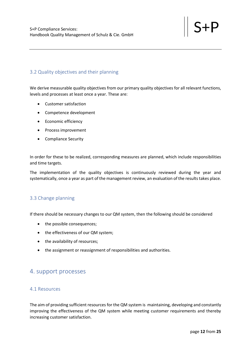## <span id="page-11-0"></span>3.2 Quality objectives and their planning

We derive measurable quality objectives from our primary quality objectives for all relevant functions, levels and processes at least once a year. These are:

- Customer satisfaction
- Competence development
- Economic efficiency
- Process improvement
- Compliance Security

In order for these to be realized, corresponding measures are planned, which include responsibilities and time targets.

The implementation of the quality objectives is continuously reviewed during the year and systematically, once a year as part of the management review, an evaluation of the results takes place.

## <span id="page-11-1"></span>3.3 Change planning

If there should be necessary changes to our QM system, then the following should be considered

- the possible consequences;
- the effectiveness of our QM system;
- the availability of resources;
- the assignment or reassignment of responsibilities and authorities.

## <span id="page-11-2"></span>4. support processes

## <span id="page-11-3"></span>4.1 Resources

The aim of providing sufficient resources for the QM system is maintaining, developing and constantly improving the effectiveness of the QM system while meeting customer requirements and thereby increasing customer satisfaction.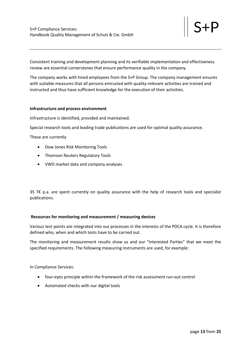Consistent training and development planning and its verifiable implementation and effectiveness review are essential cornerstones that ensure performance quality in the company.

The company works with hired employees from the S+P Group. The company management ensures with suitable measures that all persons entrusted with quality-relevant activities are trained and instructed and thus have sufficient knowledge for the execution of their activities.

#### **Infrastructure and process environment**

Infrastructure is identified, provided and maintained.

Special research tools and leading trade publications are used for optimal quality assurance.

These are currently

- Dow Jones Risk Monitoring Tools
- Thomson Reuters Regulatory Tools
- VWD market data and company analyses

35 T€ p.a. are spent currently on quality assurance with the help of research tools and specialist publications.

#### **Resources for monitoring and measurement / measuring devices**

Various test points are integrated into our processes in the interests of the PDCA cycle. It is therefore defined who, when and which tests have to be carried out.

The monitoring and measurement results show us and our "Interested Parties" that we meet the specified requirements. The following measuring instruments are used, for example:

In Compliance Services:

- four-eyes principle within the framework of the risk assessment run-out control
- Automated checks with our digital tools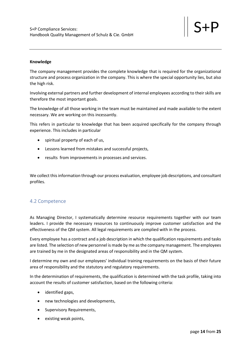#### **Knowledge**

The company management provides the complete knowledge that is required for the organizational structure and process organization in the company. This is where the special opportunity lies, but also the high risk.

Involving external partners and further development of internal employees according to their skills are therefore the most important goals.

The knowledge of all those working in the team must be maintained and made available to the extent necessary. We are working on this incessantly.

This refers in particular to knowledge that has been acquired specifically for the company through experience. This includes in particular

- spiritual property of each of us,
- Lessons learned from mistakes and successful projects,
- results from improvements in processes and services.

We collect this information through our process evaluation, employee job descriptions, and consultant profiles.

## <span id="page-13-0"></span>4.2 Competence

As Managing Director, I systematically determine resource requirements together with our team leaders. I provide the necessary resources to continuously improve customer satisfaction and the effectiveness of the QM system. All legal requirements are complied with in the process.

Every employee has a contract and a job description in which the qualification requirements and tasks are listed. The selection of new personnel is made by me as the company management. The employees are trained by me in the designated areas of responsibility and in the QM system.

I determine my own and our employees' individual training requirements on the basis of their future area of responsibility and the statutory and regulatory requirements.

In the determination of requirements, the qualification is determined with the task profile, taking into account the results of customer satisfaction, based on the following criteria:

- identified gaps,
- new technologies and developments,
- Supervisory Requirements,
- existing weak points,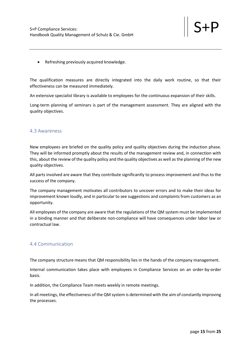• Refreshing previously acquired knowledge.

The qualification measures are directly integrated into the daily work routine, so that their effectiveness can be measured immediately.

An extensive specialist library is available to employees for the continuous expansion of their skills.

Long-term planning of seminars is part of the management assessment. They are aligned with the quality objectives.

#### <span id="page-14-0"></span>4.3 Awareness

New employees are briefed on the quality policy and quality objectives during the induction phase. They will be informed promptly about the results of the management review and, in connection with this, about the review of the quality policy and the quality objectives as well as the planning of the new quality objectives.

All parts involved are aware that they contribute significantly to process improvement and thus to the success of the company.

The company management motivates all contributors to uncover errors and to make their ideas for improvement known loudly, and in particular to see suggestions and complaints from customers as an opportunity.

All employees of the company are aware that the regulations of the QM system must be implemented in a binding manner and that deliberate non-compliance will have consequences under labor law or contractual law.

## <span id="page-14-1"></span>4.4 Communication

The company structure means that QM responsibility lies in the hands of the company management.

Internal communication takes place with employees in Compliance Services on an order-by-order basis.

In addition, the Compliance Team meets weekly in remote meetings.

In all meetings, the effectiveness of the QM system is determined with the aim of constantly improving the processes.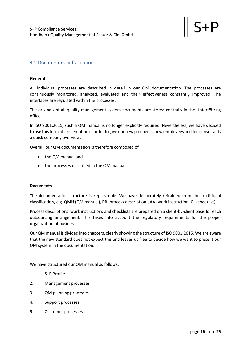## <span id="page-15-0"></span>4.5 Documented information

#### **General**

All individual processes are described in detail in our QM documentation. The processes are continuously monitored, analyzed, evaluated and their effectiveness constantly improved. The interfaces are regulated within the processes.

The originals of all quality management system documents are stored centrally in the Unterföhring office.

In ISO 9001:2015, such a QM manual is no longer explicitly required. Nevertheless, we have decided to use this form of presentation in order to give our new prospects, new employees and fee consultants a quick company overview.

Overall, our QM documentation is therefore composed of

- the QM manual and
- the processes described in the QM manual.

#### **Documents**

The documentation structure is kept simple. We have deliberately refrained from the traditional classification, e.g. QMH (QM manual), PB (process description), AA (work instruction, CL (checklist).

Process descriptions, work instructions and checklists are prepared on a client-by-client basis for each outsourcing arrangement. This takes into account the regulatory requirements for the proper organization of business.

Our QM manual is divided into chapters, clearly showing the structure of ISO 9001:2015. We are aware that the new standard does not expect this and leaves us free to decide how we want to present our QM system in the documentation.

We have structured our QM manual as follows:

- 1. S+P Profile
- 2. Management processes
- 3. QM planning processes
- 4. Support processes
- 5. Customer processes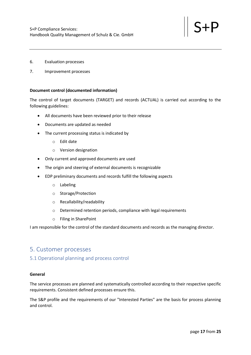- 6. Evaluation processes
- 7. Improvement processes

#### **Document control (documented information)**

The control of target documents (TARGET) and records (ACTUAL) is carried out according to the following guidelines:

- All documents have been reviewed prior to their release
- Documents are updated as needed
- The current processing status is indicated by
	- o Edit date
	- o Version designation
- Only current and approved documents are used
- The origin and steering of external documents is recognizable
- EDP preliminary documents and records fulfill the following aspects
	- o Labeling
	- o Storage/Protection
	- o Recallability/readability
	- o Determined retention periods, compliance with legal requirements
	- o Filing in SharePoint

I am responsible for the control of the standard documents and records as the managing director.

## <span id="page-16-0"></span>5. Customer processes

## <span id="page-16-1"></span>5.1 Operational planning and process control

#### **General**

The service processes are planned and systematically controlled according to their respective specific requirements. Consistent defined processes ensure this.

The S&P profile and the requirements of our "Interested Parties" are the basis for process planning and control.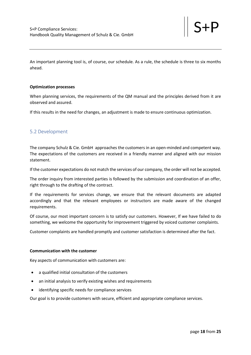An important planning tool is, of course, our schedule. As a rule, the schedule is three to six months ahead.

#### **Optimization processes**

When planning services, the requirements of the QM manual and the principles derived from it are observed and assured.

If this results in the need for changes, an adjustment is made to ensure continuous optimization.

## <span id="page-17-0"></span>5.2 Development

The company Schulz & Cie. GmbH approaches the customers in an open-minded and competent way. The expectations of the customers are received in a friendly manner and aligned with our mission statement.

If the customer expectations do not match the services of our company, the order will not be accepted.

The order inquiry from interested parties is followed by the submission and coordination of an offer, right through to the drafting of the contract.

If the requirements for services change, we ensure that the relevant documents are adapted accordingly and that the relevant employees or instructors are made aware of the changed requirements.

Of course, our most important concern is to satisfy our customers. However, If we have failed to do something, we welcome the opportunity for improvement triggered by voiced customer complaints.

Customer complaints are handled promptly and customer satisfaction is determined after the fact.

#### **Communication with the customer**

Key aspects of communication with customers are:

- a qualified initial consultation of the customers
- an initial analysis to verify existing wishes and requirements
- identifying specific needs for compliance services

Our goal is to provide customers with secure, efficient and appropriate compliance services.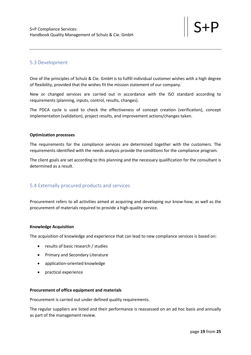## <span id="page-18-0"></span>5.3 Development

One of the principles of Schulz & Cie. GmbH is to fulfill individual customer wishes with a high degree of flexibility, provided that the wishes fit the mission statement of our company.

New or changed services are carried out in accordance with the ISO standard according to requirements (planning, inputs, control, results, changes).

The PDCA cycle is used to check the effectiveness of concept creation (verification), concept implementation (validation), project results, and improvement actions/changes taken.

#### **Optimization processes**

The requirements for the compliance services are determined together with the customers. The requirements identified with the needs analysis provide the conditions for the compliance program.

The client goals are set according to this planning and the necessary qualification for the consultant is determined as a result.

## <span id="page-18-1"></span>5.4 Externally procured products and services

Procurement refers to all activities aimed at acquiring and developing our know-how, as well as the procurement of materials required to provide a high-quality service.

#### **Knowledge Acquisition**

The acquisition of knowledge and experience that can lead to new compliance services is based on:

- results of basic research / studies
- Primary and Secondary Literature
- application-oriented knowledge
- practical experience

#### **Procurement of office equipment and materials**

Procurement is carried out under defined quality requirements.

The regular suppliers are listed and their performance is reassessed on an ad hoc basis and annually as part of the management review.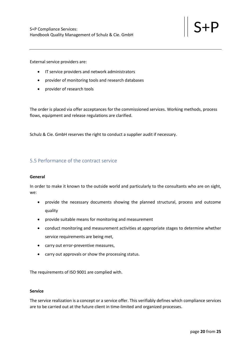External service providers are:

- IT service providers and network administrators
- provider of monitoring tools and research databases
- provider of research tools

The order is placed via offer acceptances for the commissioned services. Working methods, process flows, equipment and release regulations are clarified.

Schulz & Cie. GmbH reserves the right to conduct a supplier audit if necessary.

## <span id="page-19-0"></span>5.5 Performance of the contract service

#### **General**

In order to make it known to the outside world and particularly to the consultants who are on sight, we:

- provide the necessary documents showing the planned structural, process and outcome quality
- provide suitable means for monitoring and measurement
- conduct monitoring and measurement activities at appropriate stages to determine whether service requirements are being met,
- carry out error-preventive measures,
- carry out approvals or show the processing status.

The requirements of ISO 9001 are complied with.

#### **Service**

The service realization is a concept or a service offer. This verifiably defines which compliance services are to be carried out at the future client in time-limited and organized processes.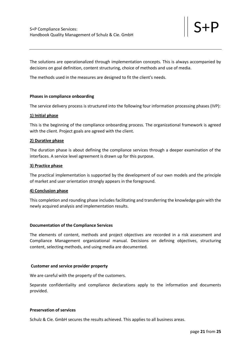The solutions are operationalized through implementation concepts. This is always accompanied by decisions on goal definition, content structuring, choice of methods and use of media.

The methods used in the measures are designed to fit the client's needs.

#### **Phases in compliance onboarding**

The service delivery process is structured into the following four information processing phases (IVP):

#### **1) Initial phase**

This is the beginning of the compliance onboarding process. The organizational framework is agreed with the client. Project goals are agreed with the client.

#### **2) Durative phase**

The duration phase is about defining the compliance services through a deeper examination of the interfaces. A service level agreement is drawn up for this purpose.

#### **3) Practice phase**

The practical implementation is supported by the development of our own models and the principle of market and user orientation strongly appears in the foreground.

#### **4) Conclusion phase**

This completion and rounding phase includes facilitating and transferring the knowledge gain with the newly acquired analysis and implementation results.

#### **Documentation of the Compliance Services**

The elements of content, methods and project objectives are recorded in a risk assessment and Compliance Management organizational manual. Decisions on defining objectives, structuring content, selecting methods, and using media are documented.

#### **Customer and service provider property**

We are careful with the property of the customers.

Separate confidentiality and compliance declarations apply to the information and documents provided.

#### **Preservation of services**

Schulz & Cie. GmbH secures the results achieved. This applies to all business areas.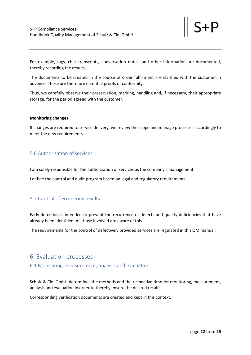For example, logs, chat transcripts, conversation notes, and other information are documented, thereby recording the results.

The documents to be created in the course of order fulfillment are clarified with the customer in advance. These are therefore essential proofs of conformity.

Thus, we carefully observe their preservation, marking, handling and, if necessary, their appropriate storage, for the period agreed with the customer.

#### **Monitoring changes**

If changes are required to service delivery, we review the scope and manage processes accordingly to meet the new requirements.

## <span id="page-21-0"></span>5.6 Authorization of services

I am solely responsible for the authorization of services as the company's management.

I define the control and audit program based on legal and regulatory requirements.

## <span id="page-21-1"></span>5.7 Control of erroneous results

Early detection is intended to prevent the recurrence of defects and quality deficiencies that have already been identified. All those involved are aware of this.

The requirements for the control of defectively provided services are regulated in this QM manual.

## <span id="page-21-2"></span>6. Evaluation processes

#### <span id="page-21-3"></span>6.1 Monitoring, measurement, analysis and evaluation

Schulz & Cie. GmbH determines the methods and the respective time for monitoring, measurement, analysis and evaluation in order to thereby ensure the desired results.

Corresponding verification documents are created and kept in this context.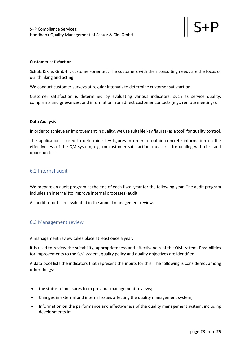#### **Customer satisfaction**

Schulz & Cie. GmbH is customer-oriented. The customers with their consulting needs are the focus of our thinking and acting.

We conduct customer surveys at regular intervals to determine customer satisfaction.

Customer satisfaction is determined by evaluating various indicators, such as service quality, complaints and grievances, and information from direct customer contacts (e.g., remote meetings).

#### **Data Analysis**

In order to achieve an improvement in quality, we use suitable key figures (as a tool) for quality control.

The application is used to determine key figures in order to obtain concrete information on the effectiveness of the QM system, e.g. on customer satisfaction, measures for dealing with risks and opportunities.

## <span id="page-22-0"></span>6.2 Internal audit

We prepare an audit program at the end of each fiscal year for the following year. The audit program includes an internal (to improve internal processes) audit.

All audit reports are evaluated in the annual management review.

#### <span id="page-22-1"></span>6.3 Management review

A management review takes place at least once a year.

It is used to review the suitability, appropriateness and effectiveness of the QM system. Possibilities for improvements to the QM system, quality policy and quality objectives are identified.

A data pool lists the indicators that represent the inputs for this. The following is considered, among other things:

- the status of measures from previous management reviews;
- Changes in external and internal issues affecting the quality management system;
- Information on the performance and effectiveness of the quality management system, including developments in: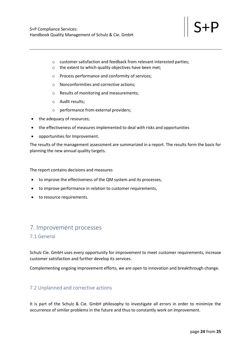- o customer satisfaction and feedback from relevant interested parties;
- o the extent to which quality objectives have been met;
- o Process performance and conformity of services;
- o Nonconformities and corrective actions;
- o Results of monitoring and measurements;
- o Audit results;
- o performance from external providers;
- the adequacy of resources;
- the effectiveness of measures implemented to deal with risks and opportunities
- opportunities for Improvement.

The results of the management assessment are summarized in a report. The results form the basis for planning the new annual quality targets.

The report contains decisions and measures

- to improve the effectiveness of the QM system and its processes,
- to improve performance in relation to customer requirements,
- to resource requirements.

# <span id="page-23-0"></span>7. Improvement processes

## <span id="page-23-1"></span>7.1 General

Schulz Cie. GmbH uses every opportunity for improvement to meet customer requirements, increase customer satisfaction and further develop its services.

Complementing ongoing improvement efforts, we are open to innovation and breakthrough change.

## <span id="page-23-2"></span>7.2 Unplanned and corrective actions

It is part of the Schulz & Cie. GmbH philosophy to investigate all errors in order to minimize the occurrence of similar problems in the future and thus to constantly work on improvement.